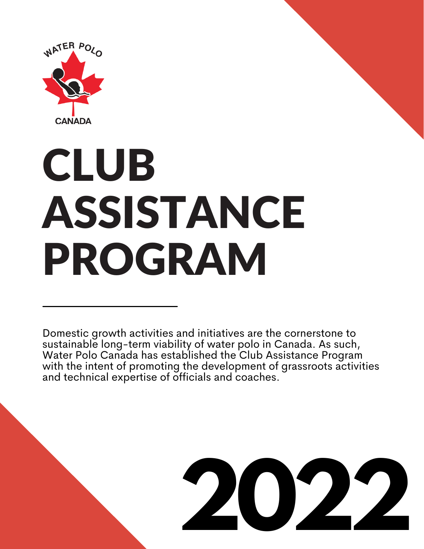

# CLUB ASSISTANCE PROGRAM

Domestic growth activities and initiatives are the cornerstone to sustainable long-term viability of water polo in Canada. As such, Water Polo Canada has established the Club Assistance Program with the intent of promoting the development of grassroots activities and technical expertise of officials and coaches.

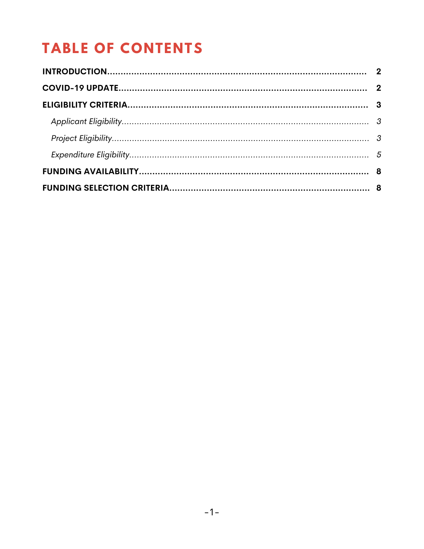# **TABLE OF CONTENTS**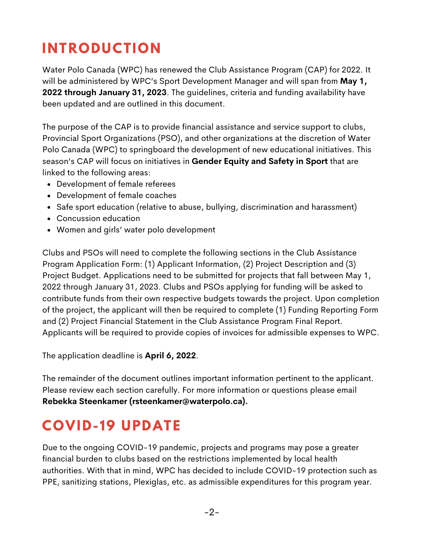# **INTRODUCTION**

Water Polo Canada (WPC) has renewed the Club Assistance Program (CAP) for 2022. It will be administered by WPC's Sport Development Manager and will span from **May 1, 2022 through January 31, 2023**. The guidelines, criteria and funding availability have been updated and are outlined in this document.

The purpose of the CAP is to provide financial assistance and service support to clubs, Provincial Sport Organizations (PSO), and other organizations at the discretion of Water Polo Canada (WPC) to springboard the development of new educational initiatives. This season's CAP will focus on initiatives in **Gender Equity and Safety in Sport** that are linked to the following areas:

- Development of female referees
- Development of female coaches
- Safe sport education (relative to abuse, bullying, discrimination and harassment)
- Concussion education
- Women and girls' water polo development

Clubs and PSOs will need to complete the following sections in the Club Assistance Program Application Form: (1) Applicant Information, (2) Project Description and (3) Project Budget. Applications need to be submitted for projects that fall between May 1, 2022 through January 31, 2023. Clubs and PSOs applying for funding will be asked to contribute funds from their own respective budgets towards the project. Upon completion of the project, the applicant will then be required to complete (1) Funding Reporting Form and (2) Project Financial Statement in the Club Assistance Program Final Report. Applicants will be required to provide copies of invoices for admissible expenses to WPC.

The application deadline is **April 6, 2022**.

The remainder of the document outlines important information pertinent to the applicant. Please review each section carefully. For more information or questions please email **Rebekka Steenkamer (rsteenkamer@waterpolo.ca).**

## **COVID- 19 UPDATE**

Due to the ongoing COVID-19 pandemic, projects and programs may pose a greater financial burden to clubs based on the restrictions implemented by local health authorities. With that in mind, WPC has decided to include COVID-19 protection such as PPE, sanitizing stations, Plexiglas, etc. as admissible expenditures for this program year.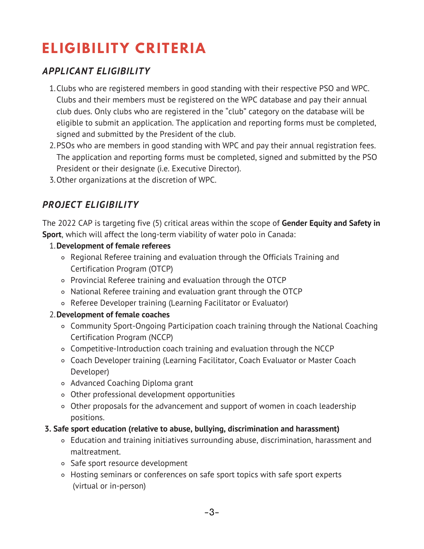# **ELIGIBILITY CRITERIA**

### *APPLICANT ELIGIBILITY*

- 1.Clubs who are registered members in good standing with their respective PSO and WPC. Clubs and their members must be registered on the WPC database and pay their annual club dues. Only clubs who are registered in the "club" category on the database will be eligible to submit an application. The application and reporting forms must be completed, signed and submitted by the President of the club.
- 2.PSOs who are members in good standing with WPC and pay their annual registration fees. The application and reporting forms must be completed, signed and submitted by the PSO President or their designate (i.e. Executive Director).
- Other organizations at the discretion of WPC. 3.

## *PROJECT ELIGIBILITY*

The 2022 CAP is targeting five (5) critical areas within the scope of **Gender Equity and Safety in Sport**, which will affect the long-term viability of water polo in Canada:

#### **Development of female referees** 1.

- Regional Referee training and evaluation through the Officials Training and Certification Program (OTCP)
- Provincial Referee training and evaluation through the OTCP
- National Referee training and evaluation grant through the OTCP
- Referee Developer training (Learning Facilitator or Evaluator)

#### **Development of female coaches** 2.

- Community Sport-Ongoing Participation coach training through the National Coaching Certification Program (NCCP)
- Competitive-Introduction coach training and evaluation through the NCCP
- Coach Developer training (Learning Facilitator, Coach Evaluator or Master Coach Developer)
- Advanced Coaching Diploma grant
- Other professional development opportunities
- Other proposals for the advancement and support of women in coach leadership positions.

#### **3. Safe sport education (relative to abuse, bullying, discrimination and harassment)**

- Education and training initiatives surrounding abuse, discrimination, harassment and maltreatment.
- Safe sport resource development
- Hosting seminars or conferences on safe sport topics with safe sport experts (virtual or in-person)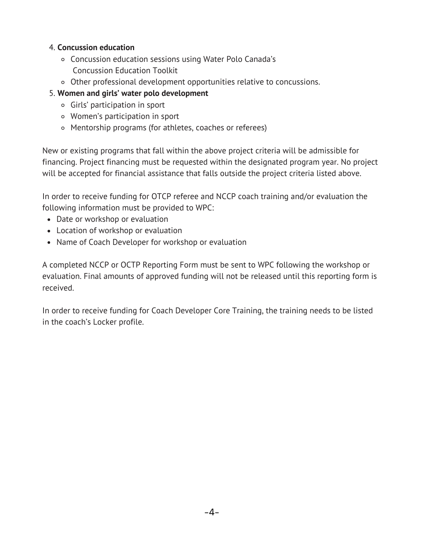#### 4. **Concussion education**

- Concussion education sessions using Water Polo Canada's Concussion Education Toolkit
- Other professional development opportunities relative to concussions.
- 5. **Women and girls' water polo development**
	- Girls' participation in sport
	- Women's participation in sport
	- Mentorship programs (for athletes, coaches or referees)

New or existing programs that fall within the above project criteria will be admissible for financing. Project financing must be requested within the designated program year. No project will be accepted for financial assistance that falls outside the project criteria listed above.

In order to receive funding for OTCP referee and NCCP coach training and/or evaluation the following information must be provided to WPC:

- Date or workshop or evaluation
- Location of workshop or evaluation
- Name of Coach Developer for workshop or evaluation

A completed NCCP or OCTP Reporting Form must be sent to WPC following the workshop or evaluation. Final amounts of approved funding will not be released until this reporting form is received.

In order to receive funding for Coach Developer Core Training, the training needs to be listed in the coach's Locker profile.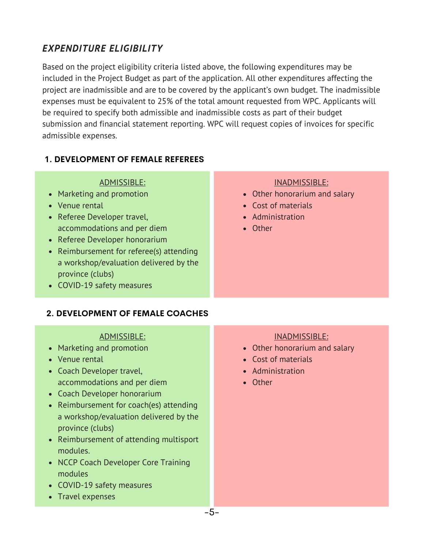## *EXPENDITURE ELIGIBILITY*

Based on the project eligibility criteria listed above, the following expenditures may be included in the Project Budget as part of the application. All other expenditures affecting the project are inadmissible and are to be covered by the applicant's own budget. The inadmissible expenses must be equivalent to 25% of the total amount requested from WPC. Applicants will be required to specify both admissible and inadmissible costs as part of their budget submission and financial statement reporting. WPC will request copies of invoices for specific admissible expenses.

#### **1. DEVELOPMENT OF FEMALE REFEREES**

#### ADMISSIBLE:

- Marketing and promotion
- Venue rental
- Referee Developer travel, accommodations and per diem
- Referee Developer honorarium
- Reimbursement for referee(s) attending a workshop/evaluation delivered by the province (clubs)
- COVID-19 safety measures

#### **2. DEVELOPMENT OF FEMALE COACHES**

#### ADMISSIBLE:

- Marketing and promotion
- Venue rental
- Coach Developer travel, accommodations and per diem
- Coach Developer honorarium
- Reimbursement for coach(es) attending a workshop/evaluation delivered by the province (clubs)
- Reimbursement of attending multisport modules.
- NCCP Coach Developer Core Training modules
- COVID-19 safety measures
- Travel expenses

#### INADMISSIBLE:

- Other honorarium and salary
- Cost of materials
- Administration
- Other

#### INADMISSIBLE:

- Other honorarium and salary
- Cost of materials
- Administration
- Other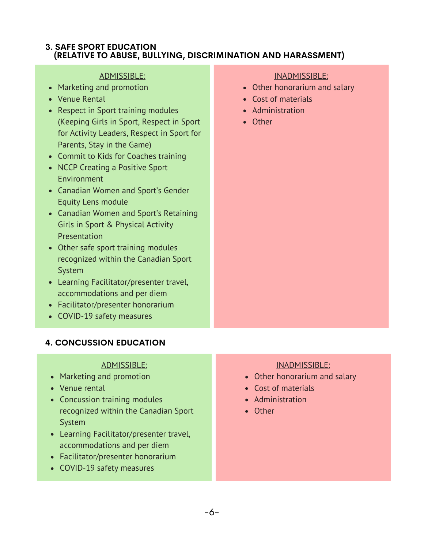#### **3. SAFE SPORT EDUCATION (RELATIVE TO ABUSE, BULLYING, DISCRIMINATION AND HARASSMENT)**

#### ADMISSIBLE:

- Marketing and promotion
- Venue Rental
- Respect in Sport training modules (Keeping Girls in Sport, Respect in Sport for Activity Leaders, Respect in Sport for Parents, Stay in the Game)
- Commit to Kids for Coaches training
- NCCP Creating a Positive Sport Environment
- Canadian Women and Sport's Gender Equity Lens module
- Canadian Women and Sport's Retaining Girls in Sport & Physical Activity Presentation
- Other safe sport training modules recognized within the Canadian Sport System
- Learning Facilitator/presenter travel, accommodations and per diem
- Facilitator/presenter honorarium
- COVID-19 safety measures

#### **4. CONCUSSION EDUCATION**

#### ADMISSIBLE:

- Marketing and promotion
- Venue rental
- Concussion training modules recognized within the Canadian Sport System
- Learning Facilitator/presenter travel, accommodations and per diem
- Facilitator/presenter honorarium
- COVID-19 safety measures

#### INADMISSIBLE:

- Other honorarium and salary
- Cost of materials
- Administration
- Other

#### INADMISSIBLE:

- Other honorarium and salary
- Cost of materials
- Administration
- Other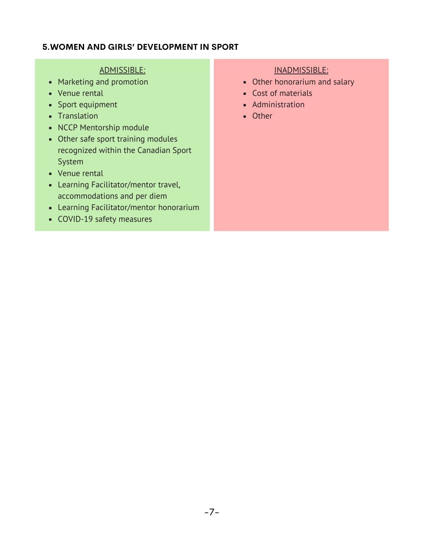#### **5.WOMEN AND GIRLS' DEVELOPMENT IN SPORT**

#### ADMISSIBLE:

- Marketing and promotion
- Venue rental
- Sport equipment
- Translation
- NCCP Mentorship module
- Other safe sport training modules recognized within the Canadian Sport System
- Venue rental
- Learning Facilitator/mentor travel, accommodations and per diem
- Learning Facilitator/mentor honorarium
- COVID-19 safety measures

#### INADMISSIBLE:

- Other honorarium and salary
- Cost of materials
- Administration
- Other